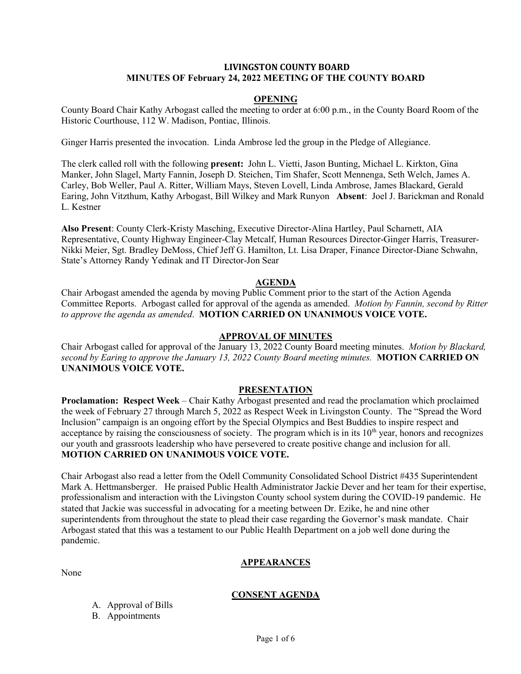#### **LIVINGSTON COUNTY BOARD MINUTES OF February 24, 2022 MEETING OF THE COUNTY BOARD**

#### **OPENING**

County Board Chair Kathy Arbogast called the meeting to order at 6:00 p.m., in the County Board Room of the Historic Courthouse, 112 W. Madison, Pontiac, Illinois.

Ginger Harris presented the invocation. Linda Ambrose led the group in the Pledge of Allegiance.

The clerk called roll with the following **present:** John L. Vietti, Jason Bunting, Michael L. Kirkton, Gina Manker, John Slagel, Marty Fannin, Joseph D. Steichen, Tim Shafer, Scott Mennenga, Seth Welch, James A. Carley, Bob Weller, Paul A. Ritter, William Mays, Steven Lovell, Linda Ambrose, James Blackard, Gerald Earing, John Vitzthum, Kathy Arbogast, Bill Wilkey and Mark Runyon **Absent**: Joel J. Barickman and Ronald L. Kestner

**Also Present**: County Clerk-Kristy Masching, Executive Director-Alina Hartley, Paul Scharnett, AIA Representative, County Highway Engineer-Clay Metcalf, Human Resources Director-Ginger Harris, Treasurer-Nikki Meier, Sgt. Bradley DeMoss, Chief Jeff G. Hamilton, Lt. Lisa Draper, Finance Director-Diane Schwahn, State's Attorney Randy Yedinak and IT Director-Jon Sear

#### **AGENDA**

Chair Arbogast amended the agenda by moving Public Comment prior to the start of the Action Agenda Committee Reports. Arbogast called for approval of the agenda as amended. *Motion by Fannin, second by Ritter to approve the agenda as amended*. **MOTION CARRIED ON UNANIMOUS VOICE VOTE.**

#### **APPROVAL OF MINUTES**

Chair Arbogast called for approval of the January 13, 2022 County Board meeting minutes. *Motion by Blackard, second by Earing to approve the January 13, 2022 County Board meeting minutes.* **MOTION CARRIED ON UNANIMOUS VOICE VOTE.** 

## **PRESENTATION**

**Proclamation: Respect Week** – Chair Kathy Arbogast presented and read the proclamation which proclaimed the week of February 27 through March 5, 2022 as Respect Week in Livingston County. The "Spread the Word Inclusion" campaign is an ongoing effort by the Special Olympics and Best Buddies to inspire respect and acceptance by raising the consciousness of society. The program which is in its  $10<sup>th</sup>$  year, honors and recognizes our youth and grassroots leadership who have persevered to create positive change and inclusion for all. **MOTION CARRIED ON UNANIMOUS VOICE VOTE.**

Chair Arbogast also read a letter from the Odell Community Consolidated School District #435 Superintendent Mark A. Hettmansberger. He praised Public Health Administrator Jackie Dever and her team for their expertise, professionalism and interaction with the Livingston County school system during the COVID-19 pandemic. He stated that Jackie was successful in advocating for a meeting between Dr. Ezike, he and nine other superintendents from throughout the state to plead their case regarding the Governor's mask mandate. Chair Arbogast stated that this was a testament to our Public Health Department on a job well done during the pandemic.

None

#### **APPEARANCES**

# **CONSENT AGENDA**

A. Approval of Bills

B. Appointments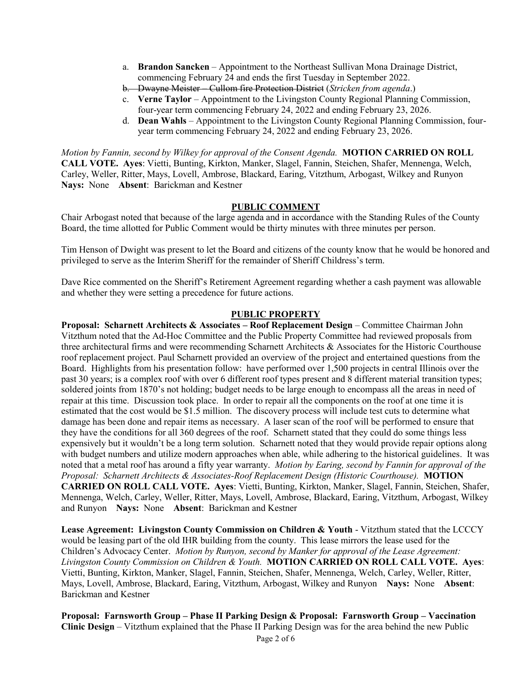- a. **Brandon Sancken** Appointment to the Northeast Sullivan Mona Drainage District, commencing February 24 and ends the first Tuesday in September 2022.
- b. Dwayne Meister Cullom fire Protection District (*Stricken from agenda*.)
- c. **Verne Taylor** Appointment to the Livingston County Regional Planning Commission, four-year term commencing February 24, 2022 and ending February 23, 2026.
- d. **Dean Wahls** Appointment to the Livingston County Regional Planning Commission, fouryear term commencing February 24, 2022 and ending February 23, 2026.

*Motion by Fannin, second by Wilkey for approval of the Consent Agenda.* **MOTION CARRIED ON ROLL CALL VOTE. Ayes**: Vietti, Bunting, Kirkton, Manker, Slagel, Fannin, Steichen, Shafer, Mennenga, Welch, Carley, Weller, Ritter, Mays, Lovell, Ambrose, Blackard, Earing, Vitzthum, Arbogast, Wilkey and Runyon **Nays:** None **Absent**: Barickman and Kestner

## **PUBLIC COMMENT**

Chair Arbogast noted that because of the large agenda and in accordance with the Standing Rules of the County Board, the time allotted for Public Comment would be thirty minutes with three minutes per person.

Tim Henson of Dwight was present to let the Board and citizens of the county know that he would be honored and privileged to serve as the Interim Sheriff for the remainder of Sheriff Childress's term.

Dave Rice commented on the Sheriff's Retirement Agreement regarding whether a cash payment was allowable and whether they were setting a precedence for future actions.

### **PUBLIC PROPERTY**

**Proposal: Scharnett Architects & Associates – Roof Replacement Design** – Committee Chairman John Vitzthum noted that the Ad-Hoc Committee and the Public Property Committee had reviewed proposals from three architectural firms and were recommending Scharnett Architects & Associates for the Historic Courthouse roof replacement project. Paul Scharnett provided an overview of the project and entertained questions from the Board. Highlights from his presentation follow: have performed over 1,500 projects in central Illinois over the past 30 years; is a complex roof with over 6 different roof types present and 8 different material transition types; soldered joints from 1870's not holding; budget needs to be large enough to encompass all the areas in need of repair at this time. Discussion took place. In order to repair all the components on the roof at one time it is estimated that the cost would be \$1.5 million. The discovery process will include test cuts to determine what damage has been done and repair items as necessary. A laser scan of the roof will be performed to ensure that they have the conditions for all 360 degrees of the roof. Scharnett stated that they could do some things less expensively but it wouldn't be a long term solution. Scharnett noted that they would provide repair options along with budget numbers and utilize modern approaches when able, while adhering to the historical guidelines. It was noted that a metal roof has around a fifty year warranty. *Motion by Earing, second by Fannin for approval of the Proposal: Scharnett Architects & Associates-Roof Replacement Design (Historic Courthouse).* **MOTION CARRIED ON ROLL CALL VOTE. Ayes**: Vietti, Bunting, Kirkton, Manker, Slagel, Fannin, Steichen, Shafer, Mennenga, Welch, Carley, Weller, Ritter, Mays, Lovell, Ambrose, Blackard, Earing, Vitzthum, Arbogast, Wilkey and Runyon **Nays:** None **Absent**: Barickman and Kestner

**Lease Agreement: Livingston County Commission on Children & Youth** - Vitzthum stated that the LCCCY would be leasing part of the old IHR building from the county. This lease mirrors the lease used for the Children's Advocacy Center. *Motion by Runyon, second by Manker for approval of the Lease Agreement: Livingston County Commission on Children & Youth.* **MOTION CARRIED ON ROLL CALL VOTE. Ayes**: Vietti, Bunting, Kirkton, Manker, Slagel, Fannin, Steichen, Shafer, Mennenga, Welch, Carley, Weller, Ritter, Mays, Lovell, Ambrose, Blackard, Earing, Vitzthum, Arbogast, Wilkey and Runyon **Nays:** None **Absent**: Barickman and Kestner

**Proposal: Farnsworth Group – Phase II Parking Design & Proposal: Farnsworth Group – Vaccination Clinic Design** – Vitzthum explained that the Phase II Parking Design was for the area behind the new Public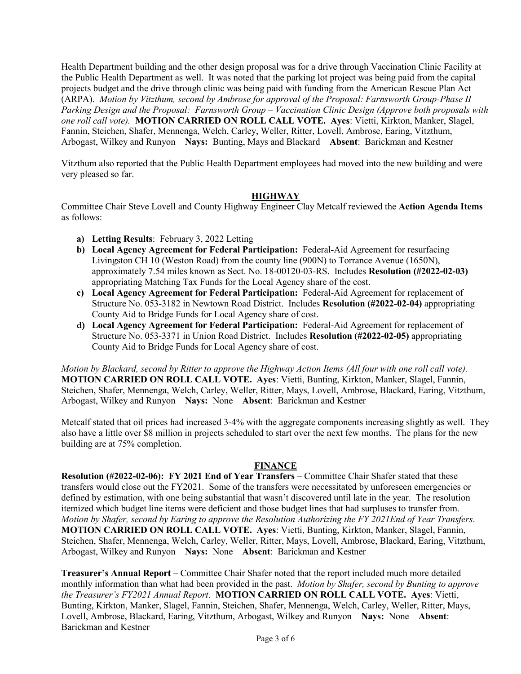Health Department building and the other design proposal was for a drive through Vaccination Clinic Facility at the Public Health Department as well. It was noted that the parking lot project was being paid from the capital projects budget and the drive through clinic was being paid with funding from the American Rescue Plan Act (ARPA). *Motion by Vitzthum, second by Ambrose for approval of the Proposal: Farnsworth Group-Phase II Parking Design and the Proposal: Farnsworth Group – Vaccination Clinic Design (Approve both proposals with one roll call vote).* **MOTION CARRIED ON ROLL CALL VOTE. Ayes**: Vietti, Kirkton, Manker, Slagel, Fannin, Steichen, Shafer, Mennenga, Welch, Carley, Weller, Ritter, Lovell, Ambrose, Earing, Vitzthum, Arbogast, Wilkey and Runyon **Nays:** Bunting, Mays and Blackard **Absent**: Barickman and Kestner

Vitzthum also reported that the Public Health Department employees had moved into the new building and were very pleased so far.

### **HIGHWAY**

Committee Chair Steve Lovell and County Highway Engineer Clay Metcalf reviewed the **Action Agenda Items** as follows:

- **a) Letting Results**: February 3, 2022 Letting
- **b) Local Agency Agreement for Federal Participation:** Federal-Aid Agreement for resurfacing Livingston CH 10 (Weston Road) from the county line (900N) to Torrance Avenue (1650N), approximately 7.54 miles known as Sect. No. 18-00120-03-RS. Includes **Resolution (#2022-02-03)** appropriating Matching Tax Funds for the Local Agency share of the cost.
- **c) Local Agency Agreement for Federal Participation:** Federal-Aid Agreement for replacement of Structure No. 053-3182 in Newtown Road District. Includes **Resolution (#2022-02-04)** appropriating County Aid to Bridge Funds for Local Agency share of cost.
- **d) Local Agency Agreement for Federal Participation:** Federal-Aid Agreement for replacement of Structure No. 053-3371 in Union Road District. Includes **Resolution (#2022-02-05)** appropriating County Aid to Bridge Funds for Local Agency share of cost.

*Motion by Blackard, second by Ritter to approve the Highway Action Items (All four with one roll call vote).* **MOTION CARRIED ON ROLL CALL VOTE. Ayes**: Vietti, Bunting, Kirkton, Manker, Slagel, Fannin, Steichen, Shafer, Mennenga, Welch, Carley, Weller, Ritter, Mays, Lovell, Ambrose, Blackard, Earing, Vitzthum, Arbogast, Wilkey and Runyon **Nays:** None **Absent**: Barickman and Kestner

Metcalf stated that oil prices had increased 3-4% with the aggregate components increasing slightly as well. They also have a little over \$8 million in projects scheduled to start over the next few months. The plans for the new building are at 75% completion.

# **FINANCE**

**Resolution (#2022-02-06): FY 2021 End of Year Transfers –** Committee Chair Shafer stated that these transfers would close out the FY2021. Some of the transfers were necessitated by unforeseen emergencies or defined by estimation, with one being substantial that wasn't discovered until late in the year. The resolution itemized which budget line items were deficient and those budget lines that had surpluses to transfer from. *Motion by Shafer, second by Earing to approve the Resolution Authorizing the FY 2021End of Year Transfers*. **MOTION CARRIED ON ROLL CALL VOTE. Ayes**: Vietti, Bunting, Kirkton, Manker, Slagel, Fannin, Steichen, Shafer, Mennenga, Welch, Carley, Weller, Ritter, Mays, Lovell, Ambrose, Blackard, Earing, Vitzthum, Arbogast, Wilkey and Runyon **Nays:** None **Absent**: Barickman and Kestner

**Treasurer's Annual Report –** Committee Chair Shafer noted that the report included much more detailed monthly information than what had been provided in the past. *Motion by Shafer, second by Bunting to approve the Treasurer's FY2021 Annual Report*. **MOTION CARRIED ON ROLL CALL VOTE. Ayes**: Vietti, Bunting, Kirkton, Manker, Slagel, Fannin, Steichen, Shafer, Mennenga, Welch, Carley, Weller, Ritter, Mays, Lovell, Ambrose, Blackard, Earing, Vitzthum, Arbogast, Wilkey and Runyon **Nays:** None **Absent**: Barickman and Kestner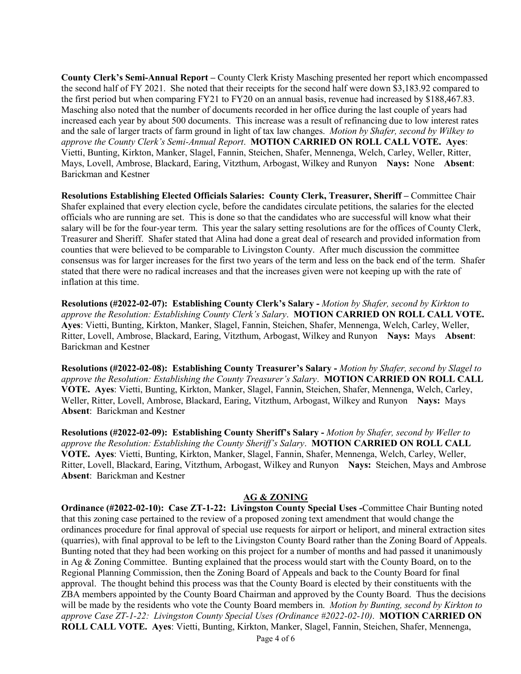**County Clerk's Semi-Annual Report –** County Clerk Kristy Masching presented her report which encompassed the second half of FY 2021. She noted that their receipts for the second half were down \$3,183.92 compared to the first period but when comparing FY21 to FY20 on an annual basis, revenue had increased by \$188,467.83. Masching also noted that the number of documents recorded in her office during the last couple of years had increased each year by about 500 documents. This increase was a result of refinancing due to low interest rates and the sale of larger tracts of farm ground in light of tax law changes. *Motion by Shafer, second by Wilkey to approve the County Clerk's Semi-Annual Report*. **MOTION CARRIED ON ROLL CALL VOTE. Ayes**: Vietti, Bunting, Kirkton, Manker, Slagel, Fannin, Steichen, Shafer, Mennenga, Welch, Carley, Weller, Ritter, Mays, Lovell, Ambrose, Blackard, Earing, Vitzthum, Arbogast, Wilkey and Runyon **Nays:** None **Absent**: Barickman and Kestner

**Resolutions Establishing Elected Officials Salaries: County Clerk, Treasurer, Sheriff –** Committee Chair Shafer explained that every election cycle, before the candidates circulate petitions, the salaries for the elected officials who are running are set. This is done so that the candidates who are successful will know what their salary will be for the four-year term. This year the salary setting resolutions are for the offices of County Clerk, Treasurer and Sheriff. Shafer stated that Alina had done a great deal of research and provided information from counties that were believed to be comparable to Livingston County. After much discussion the committee consensus was for larger increases for the first two years of the term and less on the back end of the term. Shafer stated that there were no radical increases and that the increases given were not keeping up with the rate of inflation at this time.

**Resolutions (#2022-02-07): Establishing County Clerk's Salary -** *Motion by Shafer, second by Kirkton to approve the Resolution: Establishing County Clerk's Salary*. **MOTION CARRIED ON ROLL CALL VOTE. Ayes**: Vietti, Bunting, Kirkton, Manker, Slagel, Fannin, Steichen, Shafer, Mennenga, Welch, Carley, Weller, Ritter, Lovell, Ambrose, Blackard, Earing, Vitzthum, Arbogast, Wilkey and Runyon **Nays:** Mays **Absent**: Barickman and Kestner

**Resolutions (#2022-02-08): Establishing County Treasurer's Salary -** *Motion by Shafer, second by Slagel to approve the Resolution: Establishing the County Treasurer's Salary*. **MOTION CARRIED ON ROLL CALL VOTE. Ayes**: Vietti, Bunting, Kirkton, Manker, Slagel, Fannin, Steichen, Shafer, Mennenga, Welch, Carley, Weller, Ritter, Lovell, Ambrose, Blackard, Earing, Vitzthum, Arbogast, Wilkey and Runyon **Nays:** Mays **Absent**: Barickman and Kestner

**Resolutions (#2022-02-09): Establishing County Sheriff's Salary -** *Motion by Shafer, second by Weller to approve the Resolution: Establishing the County Sheriff's Salary*. **MOTION CARRIED ON ROLL CALL VOTE. Ayes**: Vietti, Bunting, Kirkton, Manker, Slagel, Fannin, Shafer, Mennenga, Welch, Carley, Weller, Ritter, Lovell, Blackard, Earing, Vitzthum, Arbogast, Wilkey and Runyon **Nays:** Steichen, Mays and Ambrose **Absent**: Barickman and Kestner

# **AG & ZONING**

**Ordinance (#2022-02-10): Case ZT-1-22: Livingston County Special Uses -**Committee Chair Bunting noted that this zoning case pertained to the review of a proposed zoning text amendment that would change the ordinances procedure for final approval of special use requests for airport or heliport, and mineral extraction sites (quarries), with final approval to be left to the Livingston County Board rather than the Zoning Board of Appeals. Bunting noted that they had been working on this project for a number of months and had passed it unanimously in Ag & Zoning Committee. Bunting explained that the process would start with the County Board, on to the Regional Planning Commission, then the Zoning Board of Appeals and back to the County Board for final approval. The thought behind this process was that the County Board is elected by their constituents with the ZBA members appointed by the County Board Chairman and approved by the County Board. Thus the decisions will be made by the residents who vote the County Board members in. *Motion by Bunting, second by Kirkton to approve Case ZT-1-22: Livingston County Special Uses (Ordinance #2022-02-10)*. **MOTION CARRIED ON ROLL CALL VOTE. Ayes**: Vietti, Bunting, Kirkton, Manker, Slagel, Fannin, Steichen, Shafer, Mennenga,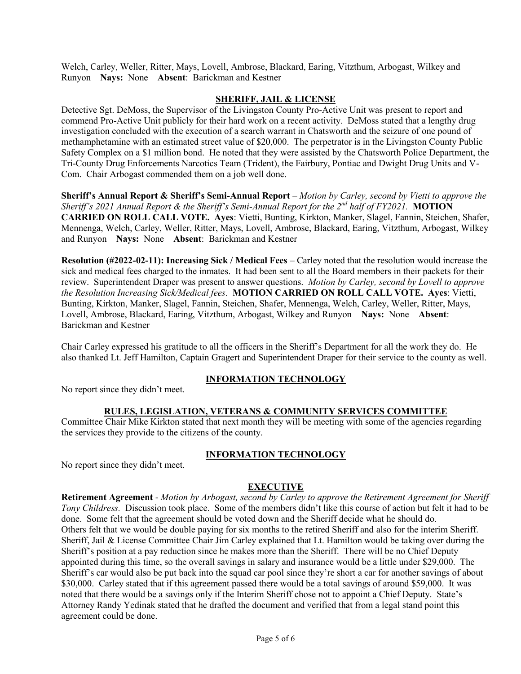Welch, Carley, Weller, Ritter, Mays, Lovell, Ambrose, Blackard, Earing, Vitzthum, Arbogast, Wilkey and Runyon **Nays:** None **Absent**: Barickman and Kestner

## **SHERIFF, JAIL & LICENSE**

Detective Sgt. DeMoss, the Supervisor of the Livingston County Pro-Active Unit was present to report and commend Pro-Active Unit publicly for their hard work on a recent activity. DeMoss stated that a lengthy drug investigation concluded with the execution of a search warrant in Chatsworth and the seizure of one pound of methamphetamine with an estimated street value of \$20,000. The perpetrator is in the Livingston County Public Safety Complex on a \$1 million bond. He noted that they were assisted by the Chatsworth Police Department, the Tri-County Drug Enforcements Narcotics Team (Trident), the Fairbury, Pontiac and Dwight Drug Units and V-Com. Chair Arbogast commended them on a job well done.

**Sheriff's Annual Report & Sheriff's Semi-Annual Report** – *Motion by Carley, second by Vietti to approve the Sheriff's 2021 Annual Report & the Sheriff's Semi-Annual Report for the 2nd half of FY2021.* **MOTION CARRIED ON ROLL CALL VOTE. Ayes**: Vietti, Bunting, Kirkton, Manker, Slagel, Fannin, Steichen, Shafer, Mennenga, Welch, Carley, Weller, Ritter, Mays, Lovell, Ambrose, Blackard, Earing, Vitzthum, Arbogast, Wilkey and Runyon **Nays:** None **Absent**: Barickman and Kestner

**Resolution (#2022-02-11): Increasing Sick / Medical Fees** – Carley noted that the resolution would increase the sick and medical fees charged to the inmates. It had been sent to all the Board members in their packets for their review. Superintendent Draper was present to answer questions. *Motion by Carley, second by Lovell to approve the Resolution Increasing Sick/Medical fees.* **MOTION CARRIED ON ROLL CALL VOTE. Ayes**: Vietti, Bunting, Kirkton, Manker, Slagel, Fannin, Steichen, Shafer, Mennenga, Welch, Carley, Weller, Ritter, Mays, Lovell, Ambrose, Blackard, Earing, Vitzthum, Arbogast, Wilkey and Runyon **Nays:** None **Absent**: Barickman and Kestner

Chair Carley expressed his gratitude to all the officers in the Sheriff's Department for all the work they do. He also thanked Lt. Jeff Hamilton, Captain Gragert and Superintendent Draper for their service to the county as well.

# **INFORMATION TECHNOLOGY**

No report since they didn't meet.

### **RULES, LEGISLATION, VETERANS & COMMUNITY SERVICES COMMITTEE**

Committee Chair Mike Kirkton stated that next month they will be meeting with some of the agencies regarding the services they provide to the citizens of the county.

**INFORMATION TECHNOLOGY** No report since they didn't meet.

### **EXECUTIVE**

**Retirement Agreement** - *Motion by Arbogast, second by Carley to approve the Retirement Agreement for Sheriff Tony Childress.* Discussion took place. Some of the members didn't like this course of action but felt it had to be done. Some felt that the agreement should be voted down and the Sheriff decide what he should do. Others felt that we would be double paying for six months to the retired Sheriff and also for the interim Sheriff. Sheriff, Jail & License Committee Chair Jim Carley explained that Lt. Hamilton would be taking over during the Sheriff's position at a pay reduction since he makes more than the Sheriff. There will be no Chief Deputy appointed during this time, so the overall savings in salary and insurance would be a little under \$29,000. The Sheriff's car would also be put back into the squad car pool since they're short a car for another savings of about \$30,000. Carley stated that if this agreement passed there would be a total savings of around \$59,000. It was noted that there would be a savings only if the Interim Sheriff chose not to appoint a Chief Deputy. State's Attorney Randy Yedinak stated that he drafted the document and verified that from a legal stand point this agreement could be done.